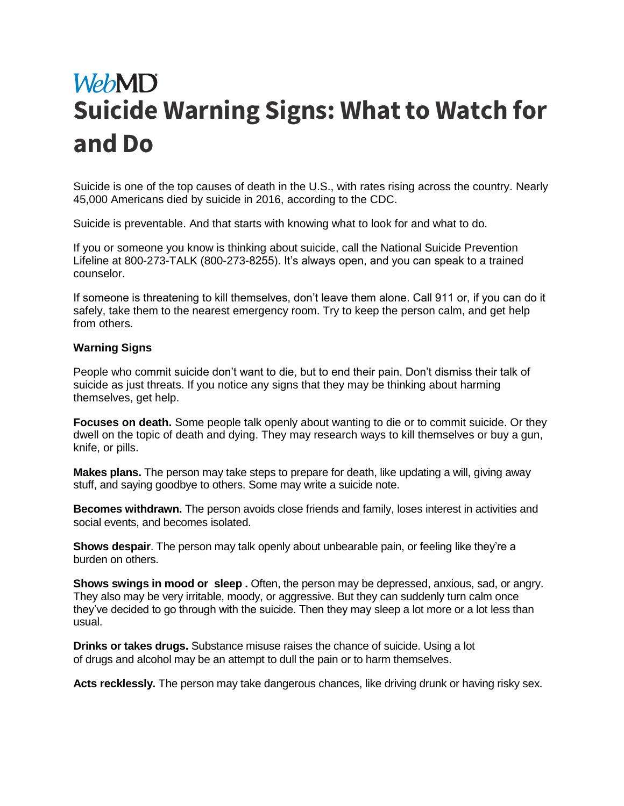## **WebMD Suicide Warning Signs: What to Watch for and Do**

[Suicide](https://www.webmd.com/mental-health/tc/suicidal-thoughts-or-threats-topic-overview) is one of the top causes of death in the U.S., with [rates rising across the country.](https://www.webmd.com/mental-health/news/20180607/cdc-suicide-rates-rising-across-us) Nearly 45,000 Americans died by suicide in 2016, according to the CDC.

Suicide is preventable. And that starts with knowing what to look for and what to do.

If you or someone you know is thinking about suicide, call the National Suicide Prevention Lifeline at 800-273-TALK (800-273-8255). It's always open, and you can speak to a trained counselor.

If someone is threatening to kill themselves, don't leave them alone. Call 911 or, if you can do it safely, take them to the nearest emergency room. Try to keep the person calm, and get help from others.

## **Warning Signs**

People who commit suicide don't want to die, but to end their pain. Don't dismiss their talk of suicide as just threats. If you notice any signs that they may be thinking about harming themselves, get help.

**Focuses on death.** Some people talk openly about wanting to die or to commit suicide. Or they dwell on the topic of death and dying. They may research ways to kill themselves or buy a gun, knife, or pills.

**Makes plans.** The person may take steps to prepare for death, like updating a will, giving away stuff, and saying goodbye to others. Some may write a suicide note.

**Becomes withdrawn.** The person avoids close friends and family, loses interest in activities and social events, and becomes isolated.

**Shows despair**. The person may talk openly about unbearable pain, or feeling like they're a burden on others.

**Shows swings in mood or [sleep](https://www.webmd.com/sleep-disorders/default.htm) .** Often, the person may be depressed, anxious, sad, or angry. They also may be very irritable, moody, or aggressive. But they can suddenly turn calm once they've decided to go through with the suicide. Then they may [sleep](https://www.webmd.com/sleep-disorders/ss/slideshow-sleep-disorders-overview) a lot more or a lot less than usual.

**Drinks or takes drugs.** Substance misuse raises the chance of suicide. Using a lot of [drugs](https://www.webmd.com/drugs/index-drugs.aspx) and [alcohol](https://www.webmd.com/mental-health/addiction/standard-alcoholic-drink) may be an attempt to dull the pain or to harm themselves.

**Acts recklessly.** The person may take dangerous chances, like driving drunk or having risky sex.